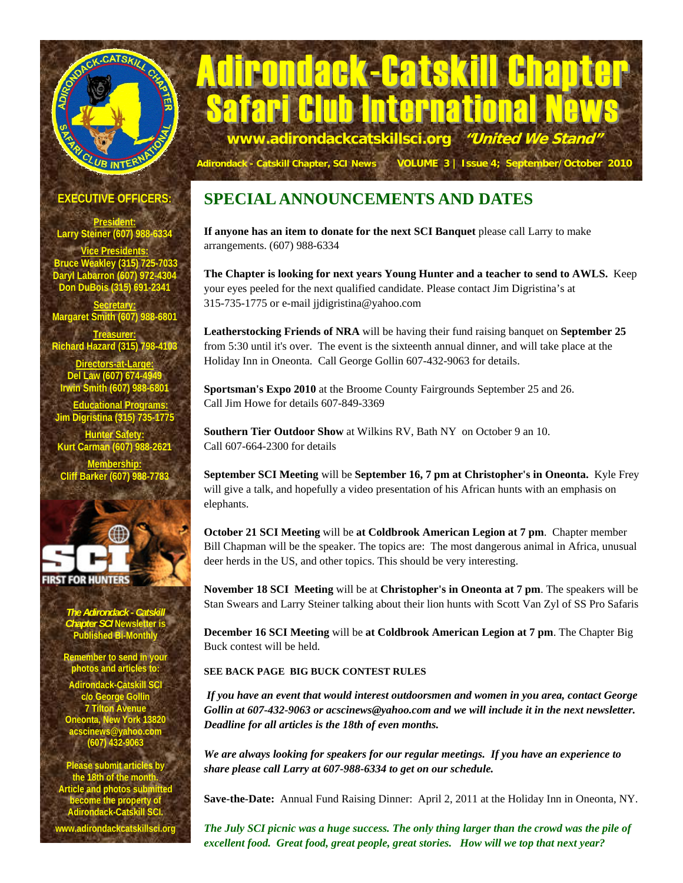

# Adirondack-Catskill Chapter Safari Club International Ne **www.adirondackcatskillsci.org "United We Stand"**

 **Adirondack - Catskill Chapter, SCI News VOLUME 3 | Issue 4; September/October 2010**

**EXECUTIVE OFFICERS:** 

**President: Larry Steiner (607) 988-633** 

**Vice Presidents: Bruce Weakley (315) 725-7033 Daryl Labarron (607) 972-4304 Don DuBois (315) 691-2341** 

**Secretary: Margaret Smith (607) 988-6801** 

**Treasurer: Richard Hazard (315) 798-4103 Directors-at-Large:** Del Law (607) 674-49 **Irwin Smith (607) 98 Educational Programs:**

**Jim Digristina (315) 735-1775** 

**Hunter Safety: Kurt Carman (607) 988** 

**Membership: Cliff Barker (607) 988-7783** 



*The Adirondack - Catskill Chapter SCI* **Newsletter is Published Bi-Monthly** 

**Remember to send in your photos and articles to:** 

.<br>Adirondack-Catskill SC **c/o George Gollin 7 Tilton Avenue Oneonta, New York 13820 acscinews@yahoo.com (607) 432-9063** 

**Place submit articles the 18th of the month. Article and photos submitted become the property of Adirondack-Catskill SCI.** 

**www.adirondackcatskillsci.org** 

# **SPECIAL ANNOUNCEMENTS AND DATES**

**If anyone has an item to donate for the next SCI Banquet** please call Larry to make arrangements. (607) 988-6334

**The Chapter is looking for next years Young Hunter and a teacher to send to AWLS.** Keep your eyes peeled for the next qualified candidate. Please contact Jim Digristina's at 315-735-1775 or e-mail jjdigristina@yahoo.com

**Leatherstocking Friends of NRA** will be having their fund raising banquet on **September 25**  from 5:30 until it's over. The event is the sixteenth annual dinner, and will take place at the Holiday Inn in Oneonta. Call George Gollin 607-432-9063 for details.

**Sportsman's Expo 2010** at the Broome County Fairgrounds September 25 and 26. Call Jim Howe for details 607-849-3369

**Southern Tier Outdoor Show** at Wilkins RV, Bath NY on October 9 an 10. Call 607-664-2300 for details

**September SCI Meeting** will be **September 16, 7 pm at Christopher's in Oneonta.** Kyle Frey will give a talk, and hopefully a video presentation of his African hunts with an emphasis on elephants.

**October 21 SCI Meeting** will be **at Coldbrook American Legion at 7 pm**. Chapter member Bill Chapman will be the speaker. The topics are: The most dangerous animal in Africa, unusual deer herds in the US, and other topics. This should be very interesting.

**November 18 SCI Meeting** will be at **Christopher's in Oneonta at 7 pm**. The speakers will be Stan Swears and Larry Steiner talking about their lion hunts with Scott Van Zyl of SS Pro Safaris

**December 16 SCI Meeting** will be **at Coldbrook American Legion at 7 pm**. The Chapter Big Buck contest will be held.

## **SEE BACK PAGE BIG BUCK CONTEST RULES**

*If you have an event that would interest outdoorsmen and women in you area, contact George Gollin at 607-432-9063 or acscinews@yahoo.com and we will include it in the next newsletter. Deadline for all articles is the 18th of even months.* 

*We are always looking for speakers for our regular meetings. If you have an experience to share please call Larry at 607-988-6334 to get on our schedule.* 

**Save-the-Date:** Annual Fund Raising Dinner: April 2, 2011 at the Holiday Inn in Oneonta, NY.

*The July SCI picnic was a huge success. The only thing larger than the crowd was the pile of excellent food. Great food, great people, great stories. How will we top that next year?*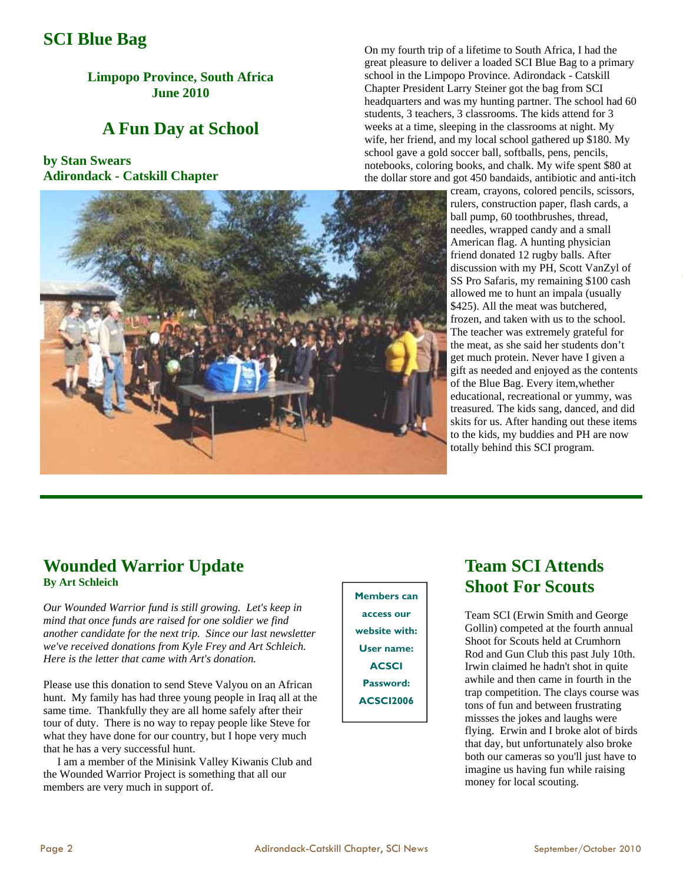## **SCI Blue Bag**

**Limpopo Province, South Africa June 2010** 

## **A Fun Day at School**

## **by Stan Swears Adirondack - Catskill Chapter**



On my fourth trip of a lifetime to South Africa, I had the great pleasure to deliver a loaded SCI Blue Bag to a primary school in the Limpopo Province. Adirondack - Catskill Chapter President Larry Steiner got the bag from SCI headquarters and was my hunting partner. The school had 60 students, 3 teachers, 3 classrooms. The kids attend for 3 weeks at a time, sleeping in the classrooms at night. My wife, her friend, and my local school gathered up \$180. My school gave a gold soccer ball, softballs, pens, pencils, notebooks, coloring books, and chalk. My wife spent \$80 at the dollar store and got 450 bandaids, antibiotic and anti-itch

cream, crayons, colored pencils, scissors, rulers, construction paper, flash cards, a ball pump, 60 toothbrushes, thread, needles, wrapped candy and a small American flag. A hunting physician friend donated 12 rugby balls. After discussion with my PH, Scott VanZyl of SS Pro Safaris, my remaining \$100 cash allowed me to hunt an impala (usually \$425). All the meat was butchered, frozen, and taken with us to the school. The teacher was extremely grateful for the meat, as she said her students don't get much protein. Never have I given a gift as needed and enjoyed as the contents of the Blue Bag. Every item,whether educational, recreational or yummy, was treasured. The kids sang, danced, and did skits for us. After handing out these items to the kids, my buddies and PH are now totally behind this SCI program.

# **Wounded Warrior Update**

**By Art Schleich** 

*Our Wounded Warrior fund is still growing. Let's keep in mind that once funds are raised for one soldier we find another candidate for the next trip. Since our last newsletter we've received donations from Kyle Frey and Art Schleich. Here is the letter that came with Art's donation.* 

Please use this donation to send Steve Valyou on an African hunt. My family has had three young people in Iraq all at the same time. Thankfully they are all home safely after their tour of duty. There is no way to repay people like Steve for what they have done for our country, but I hope very much that he has a very successful hunt.

 I am a member of the Minisink Valley Kiwanis Club and the Wounded Warrior Project is something that all our members are very much in support of.

## **Members can access our website with: User name: ACSCI Password: ACSCI2006**

## **Team SCI Attends Shoot For Scouts**

Team SCI (Erwin Smith and George Gollin) competed at the fourth annual Shoot for Scouts held at Crumhorn Rod and Gun Club this past July 10th. Irwin claimed he hadn't shot in quite awhile and then came in fourth in the trap competition. The clays course was tons of fun and between frustrating missses the jokes and laughs were flying. Erwin and I broke alot of birds that day, but unfortunately also broke both our cameras so you'll just have to imagine us having fun while raising money for local scouting.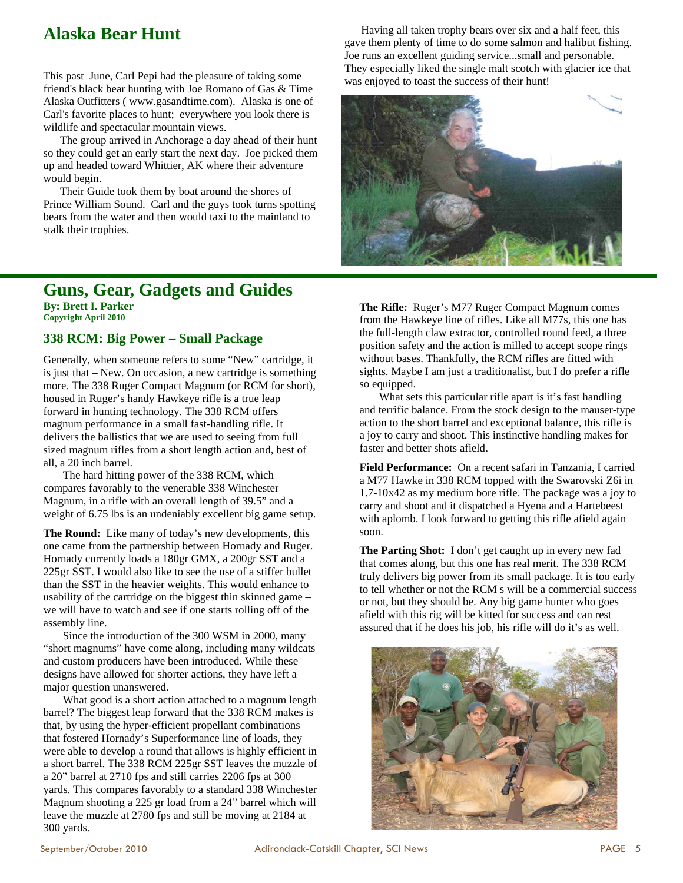# **Alaska Bear Hunt**

This past June, Carl Pepi had the pleasure of taking some friend's black bear hunting with Joe Romano of Gas & Time Alaska Outfitters ( www.gasandtime.com). Alaska is one of Carl's favorite places to hunt; everywhere you look there is wildlife and spectacular mountain views.

 The group arrived in Anchorage a day ahead of their hunt so they could get an early start the next day. Joe picked them up and headed toward Whittier, AK where their adventure would begin.

 Their Guide took them by boat around the shores of Prince William Sound. Carl and the guys took turns spotting bears from the water and then would taxi to the mainland to stalk their trophies.

### **Guns, Gear, Gadgets and Guides By: Brett I. Parker Copyright April 2010**

#### **338 RCM: Big Power – Small Package**

Generally, when someone refers to some "New" cartridge, it is just that – New. On occasion, a new cartridge is something more. The 338 Ruger Compact Magnum (or RCM for short), housed in Ruger's handy Hawkeye rifle is a true leap forward in hunting technology. The 338 RCM offers magnum performance in a small fast-handling rifle. It delivers the ballistics that we are used to seeing from full sized magnum rifles from a short length action and, best of all, a 20 inch barrel.

 The hard hitting power of the 338 RCM, which compares favorably to the venerable 338 Winchester Magnum, in a rifle with an overall length of 39.5" and a weight of 6.75 lbs is an undeniably excellent big game setup.

**The Round:** Like many of today's new developments, this one came from the partnership between Hornady and Ruger. Hornady currently loads a 180gr GMX, a 200gr SST and a 225gr SST. I would also like to see the use of a stiffer bullet than the SST in the heavier weights. This would enhance to usability of the cartridge on the biggest thin skinned game – we will have to watch and see if one starts rolling off of the assembly line.

 Since the introduction of the 300 WSM in 2000, many "short magnums" have come along, including many wildcats and custom producers have been introduced. While these designs have allowed for shorter actions, they have left a major question unanswered.

 What good is a short action attached to a magnum length barrel? The biggest leap forward that the 338 RCM makes is that, by using the hyper-efficient propellant combinations that fostered Hornady's Superformance line of loads, they were able to develop a round that allows is highly efficient in a short barrel. The 338 RCM 225gr SST leaves the muzzle of a 20" barrel at 2710 fps and still carries 2206 fps at 300 yards. This compares favorably to a standard 338 Winchester Magnum shooting a 225 gr load from a 24" barrel which will leave the muzzle at 2780 fps and still be moving at 2184 at 300 yards.

 Having all taken trophy bears over six and a half feet, this gave them plenty of time to do some salmon and halibut fishing. Joe runs an excellent guiding service...small and personable. They especially liked the single malt scotch with glacier ice that was enjoyed to toast the success of their hunt!



**The Rifle:** Ruger's M77 Ruger Compact Magnum comes from the Hawkeye line of rifles. Like all M77s, this one has the full-length claw extractor, controlled round feed, a three position safety and the action is milled to accept scope rings without bases. Thankfully, the RCM rifles are fitted with sights. Maybe I am just a traditionalist, but I do prefer a rifle so equipped.

 What sets this particular rifle apart is it's fast handling and terrific balance. From the stock design to the mauser-type action to the short barrel and exceptional balance, this rifle is a joy to carry and shoot. This instinctive handling makes for faster and better shots afield.

**Field Performance:** On a recent safari in Tanzania, I carried a M77 Hawke in 338 RCM topped with the Swarovski Z6i in 1.7-10x42 as my medium bore rifle. The package was a joy to carry and shoot and it dispatched a Hyena and a Hartebeest with aplomb. I look forward to getting this rifle afield again soon.

**The Parting Shot:** I don't get caught up in every new fad that comes along, but this one has real merit. The 338 RCM truly delivers big power from its small package. It is too early to tell whether or not the RCM s will be a commercial success or not, but they should be. Any big game hunter who goes afield with this rig will be kitted for success and can rest assured that if he does his job, his rifle will do it's as well.